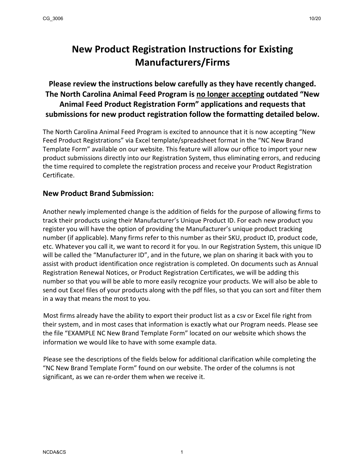## **New Product Registration Instructions for Existing Manufacturers/Firms**

**Please review the instructions below carefully as they have recently changed. The North Carolina Animal Feed Program is no longer accepting outdated "New Animal Feed Product Registration Form" applications and requests that submissions for new product registration follow the formatting detailed below.**

The North Carolina Animal Feed Program is excited to announce that it is now accepting "New Feed Product Registrations" via Excel template/spreadsheet format in the "NC New Brand Template Form" available on our website. This feature will allow our office to import your new product submissions directly into our Registration System, thus eliminating errors, and reducing the time required to complete the registration process and receive your Product Registration Certificate.

## **New Product Brand Submission:**

Another newly implemented change is the addition of fields for the purpose of allowing firms to track their products using their Manufacturer's Unique Product ID. For each new product you register you will have the option of providing the Manufacturer's unique product tracking number (if applicable). Many firms refer to this number as their SKU, product ID, product code, etc. Whatever you call it, we want to record it for you. In our Registration System, this unique ID will be called the "Manufacturer ID", and in the future, we plan on sharing it back with you to assist with product identification once registration is completed. On documents such as Annual Registration Renewal Notices, or Product Registration Certificates, we will be adding this number so that you will be able to more easily recognize your products. We will also be able to send out Excel files of your products along with the pdf files, so that you can sort and filter them in a way that means the most to you.

Most firms already have the ability to export their product list as a csv or Excel file right from their system, and in most cases that information is exactly what our Program needs. Please see the file "EXAMPLE NC New Brand Template Form" located on our website which shows the information we would like to have with some example data.

Please see the descriptions of the fields below for additional clarification while completing the "NC New Brand Template Form" found on our website. The order of the columns is not significant, as we can re-order them when we receive it.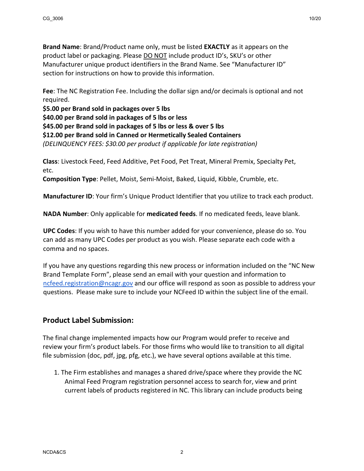**Brand Name**: Brand/Product name only, must be listed **EXACTLY** as it appears on the product label or packaging. Please DO NOT include product ID's, SKU's or other Manufacturer unique product identifiers in the Brand Name. See "Manufacturer ID" section for instructions on how to provide this information.

**Fee**: The NC Registration Fee. Including the dollar sign and/or decimals is optional and not required.

**\$5.00 per Brand sold in packages over 5 lbs \$40.00 per Brand sold in packages of 5 lbs or less \$45.00 per Brand sold in packages of 5 lbs or less & over 5 lbs \$12.00 per Brand sold in Canned or Hermetically Sealed Containers** *(DELINQUENCY FEES: \$30.00 per product if applicable for late registration)*

**Class**: Livestock Feed, Feed Additive, Pet Food, Pet Treat, Mineral Premix, Specialty Pet, etc.

**Composition Type**: Pellet, Moist, Semi-Moist, Baked, Liquid, Kibble, Crumble, etc.

**Manufacturer ID**: Your firm's Unique Product Identifier that you utilize to track each product.

**NADA Number**: Only applicable for **medicated feeds**. If no medicated feeds, leave blank.

**UPC Codes**: If you wish to have this number added for your convenience, please do so. You can add as many UPC Codes per product as you wish. Please separate each code with a comma and no spaces.

If you have any questions regarding this new process or information included on the "NC New Brand Template Form", please send an email with your question and information to [ncfeed.registration@ncagr.gov](mailto:ncfeed.registration@ncagr.gov) and our office will respond as soon as possible to address your questions. Please make sure to include your NCFeed ID within the subject line of the email.

## **Product Label Submission:**

The final change implemented impacts how our Program would prefer to receive and review your firm's product labels. For those firms who would like to transition to all digital file submission (doc, pdf, jpg, pfg, etc.), we have several options available at this time.

1. The Firm establishes and manages a shared drive/space where they provide the NC Animal Feed Program registration personnel access to search for, view and print current labels of products registered in NC. This library can include products being